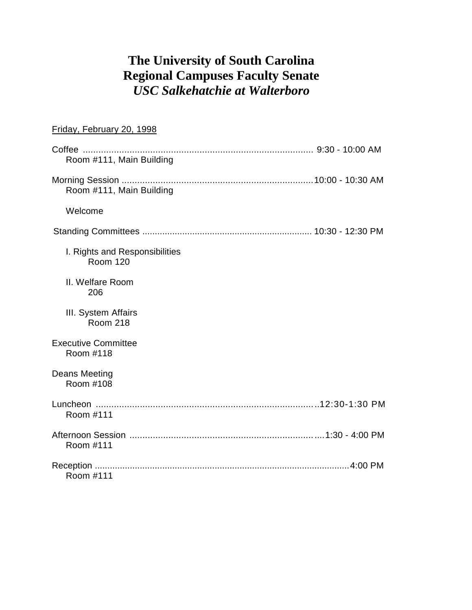# **The University of South Carolina Regional Campuses Faculty Senate** *USC Salkehatchie at Walterboro*

# Friday, February 20, 1998

| Room #111, Main Building                          |
|---------------------------------------------------|
| Room #111, Main Building                          |
| Welcome                                           |
|                                                   |
| I. Rights and Responsibilities<br><b>Room 120</b> |
| II. Welfare Room<br>206                           |
| III. System Affairs<br><b>Room 218</b>            |
| <b>Executive Committee</b><br>Room #118           |
| Deans Meeting<br>Room #108                        |
| Room #111                                         |
| Room #111                                         |
| Room #111                                         |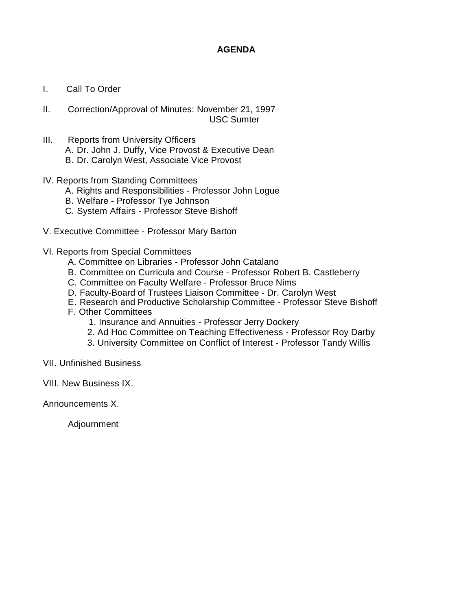# **AGENDA**

- I. Call To Order
- II. Correction/Approval of Minutes: November 21, 1997 USC Sumter
- III. Reports from University Officers
	- A. Dr. John J. Duffy, Vice Provost & Executive Dean
	- B. Dr. Carolyn West, Associate Vice Provost
- IV. Reports from Standing Committees
	- A. Rights and Responsibilities Professor John Logue
	- B. Welfare Professor Tye Johnson
	- C. System Affairs Professor Steve Bishoff
- V. Executive Committee Professor Mary Barton
- VI. Reports from Special Committees
	- A. Committee on Libraries Professor John Catalano
	- B. Committee on Curricula and Course Professor Robert B. Castleberry
	- C. Committee on Faculty Welfare Professor Bruce Nims
	- D. Faculty-Board of Trustees Liaison Committee Dr. Carolyn West
	- E. Research and Productive Scholarship Committee Professor Steve Bishoff
	- F. Other Committees
		- 1. Insurance and Annuities Professor Jerry Dockery
		- 2. Ad Hoc Committee on Teaching Effectiveness Professor Roy Darby
		- 3. University Committee on Conflict of Interest Professor Tandy Willis
- VII. Unfinished Business
- VIII. New Business IX.

Announcements X.

Adjournment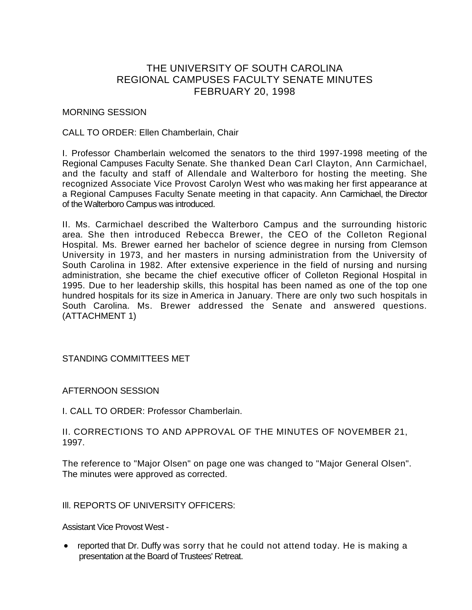# THE UNIVERSITY OF SOUTH CAROLINA REGIONAL CAMPUSES FACULTY SENATE MINUTES FEBRUARY 20, 1998

# MORNING SESSION

# CALL TO ORDER: Ellen Chamberlain, Chair

I. Professor Chamberlain welcomed the senators to the third 1997-1998 meeting of the Regional Campuses Faculty Senate. She thanked Dean Carl Clayton, Ann Carmichael, and the faculty and staff of Allendale and Walterboro for hosting the meeting. She recognized Associate Vice Provost Carolyn West who was making her first appearance at a Regional Campuses Faculty Senate meeting in that capacity. Ann Carmichael, the Director of the Walterboro Campus was introduced.

II. Ms. Carmichael described the Walterboro Campus and the surrounding historic area. She then introduced Rebecca Brewer, the CEO of the Colleton Regional Hospital. Ms. Brewer earned her bachelor of science degree in nursing from Clemson University in 1973, and her masters in nursing administration from the University of South Carolina in 1982. After extensive experience in the field of nursing and nursing administration, she became the chief executive officer of Colleton Regional Hospital in 1995. Due to her leadership skills, this hospital has been named as one of the top one hundred hospitals for its size in America in January. There are only two such hospitals in South Carolina. Ms. Brewer addressed the Senate and answered questions. (ATTACHMENT 1)

STANDING COMMITTEES MET

AFTERNOON SESSION

I. CALL TO ORDER: Professor Chamberlain.

II. CORRECTIONS TO AND APPROVAL OF THE MINUTES OF NOVEMBER 21, 1997.

The reference to "Major Olsen" on page one was changed to "Major General Olsen". The minutes were approved as corrected.

Ill. REPORTS OF UNIVERSITY OFFICERS:

Assistant Vice Provost West -

• reported that Dr. Duffy was sorry that he could not attend today. He is making a presentation at the Board of Trustees' Retreat.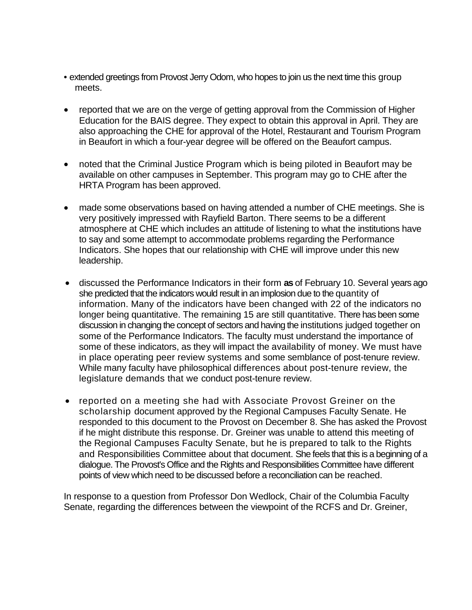- extended greetings from Provost Jerry Odom, who hopes to join us the next time this group meets.
- reported that we are on the verge of getting approval from the Commission of Higher Education for the BAIS degree. They expect to obtain this approval in April. They are also approaching the CHE for approval of the Hotel, Restaurant and Tourism Program in Beaufort in which a four-year degree will be offered on the Beaufort campus.
- noted that the Criminal Justice Program which is being piloted in Beaufort may be available on other campuses in September. This program may go to CHE after the HRTA Program has been approved.
- made some observations based on having attended a number of CHE meetings. She is very positively impressed with Rayfield Barton. There seems to be a different atmosphere at CHE which includes an attitude of listening to what the institutions have to say and some attempt to accommodate problems regarding the Performance Indicators. She hopes that our relationship with CHE will improve under this new leadership.
- discussed the Performance Indicators in their form **as** of February 10. Several years ago she predicted that the indicators would result in an implosion due to the quantity of information. Many of the indicators have been changed with 22 of the indicators no longer being quantitative. The remaining 15 are still quantitative. There has been some discussion in changing the concept of sectors and having the institutions judged together on some of the Performance Indicators. The faculty must understand the importance of some of these indicators, as they will impact the availability of money. We must have in place operating peer review systems and some semblance of post-tenure review. While many faculty have philosophical differences about post-tenure review, the legislature demands that we conduct post-tenure review.
- reported on a meeting she had with Associate Provost Greiner on the scholarship document approved by the Regional Campuses Faculty Senate. He responded to this document to the Provost on December 8. She has asked the Provost if he might distribute this response. Dr. Greiner was unable to attend this meeting of the Regional Campuses Faculty Senate, but he is prepared to talk to the Rights and Responsibilities Committee about that document. She feels that this is a beginning of a dialogue. The Provost's Office and the Rights and Responsibilities Committee have different points of view which need to be discussed before a reconciliation can be reached.

In response to a question from Professor Don Wedlock, Chair of the Columbia Faculty Senate, regarding the differences between the viewpoint of the RCFS and Dr. Greiner,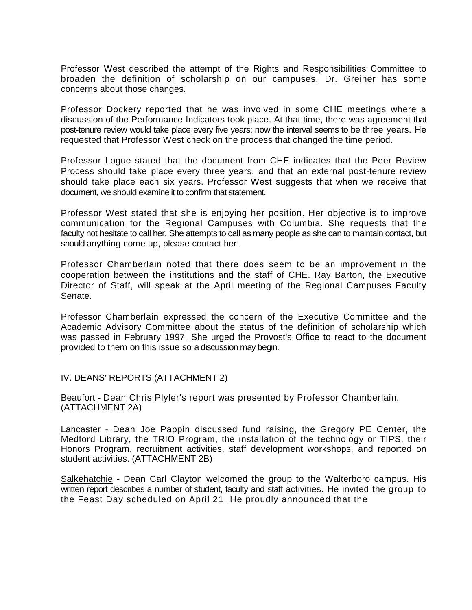Professor West described the attempt of the Rights and Responsibilities Committee to broaden the definition of scholarship on our campuses. Dr. Greiner has some concerns about those changes.

Professor Dockery reported that he was involved in some CHE meetings where a discussion of the Performance Indicators took place. At that time, there was agreement that post-tenure review would take place every five years; now the interval seems to be three years. He requested that Professor West check on the process that changed the time period.

Professor Logue stated that the document from CHE indicates that the Peer Review Process should take place every three years, and that an external post-tenure review should take place each six years. Professor West suggests that when we receive that document, we should examine it to confirm that statement.

Professor West stated that she is enjoying her position. Her objective is to improve communication for the Regional Campuses with Columbia. She requests that the faculty not hesitate to call her. She attempts to call as many people as she can to maintain contact, but should anything come up, please contact her.

Professor Chamberlain noted that there does seem to be an improvement in the cooperation between the institutions and the staff of CHE. Ray Barton, the Executive Director of Staff, will speak at the April meeting of the Regional Campuses Faculty Senate.

Professor Chamberlain expressed the concern of the Executive Committee and the Academic Advisory Committee about the status of the definition of scholarship which was passed in February 1997. She urged the Provost's Office to react to the document provided to them on this issue so a discussion may begin.

IV. DEANS' REPORTS (ATTACHMENT 2)

Beaufort - Dean Chris Plyler's report was presented by Professor Chamberlain. (ATTACHMENT 2A)

Lancaster - Dean Joe Pappin discussed fund raising, the Gregory PE Center, the Medford Library, the TRIO Program, the installation of the technology or TIPS, their Honors Program, recruitment activities, staff development workshops, and reported on student activities. (ATTACHMENT 2B)

Salkehatchie - Dean Carl Clayton welcomed the group to the Walterboro campus. His written report describes a number of student, faculty and staff activities. He invited the group to the Feast Day scheduled on April 21. He proudly announced that the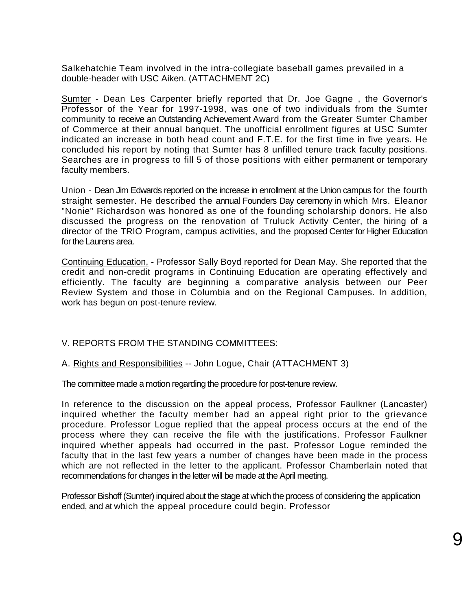Salkehatchie Team involved in the intra-collegiate baseball games prevailed in a double-header with USC Aiken. (ATTACHMENT 2C)

Sumter - Dean Les Carpenter briefly reported that Dr. Joe Gagne , the Governor's Professor of the Year for 1997-1998, was one of two individuals from the Sumter community to receive an Outstanding Achievement Award from the Greater Sumter Chamber of Commerce at their annual banquet. The unofficial enrollment figures at USC Sumter indicated an increase in both head count and F.T.E. for the first time in five years. He concluded his report by noting that Sumter has 8 unfilled tenure track faculty positions. Searches are in progress to fill 5 of those positions with either permanent or temporary faculty members.

Union - Dean Jim Edwards reported on the increase in enrollment at the Union campus for the fourth straight semester. He described the annual Founders Day ceremony in which Mrs. Eleanor "Nonie" Richardson was honored as one of the founding scholarship donors. He also discussed the progress on the renovation of Truluck Activity Center, the hiring of a director of the TRIO Program, campus activities, and the proposed Center for Higher Education for the Laurens area.

Continuing Education, - Professor Sally Boyd reported for Dean May. She reported that the credit and non-credit programs in Continuing Education are operating effectively and efficiently. The faculty are beginning a comparative analysis between our Peer Review System and those in Columbia and on the Regional Campuses. In addition, work has begun on post-tenure review.

# V. REPORTS FROM THE STANDING COMMITTEES:

A. Rights and Responsibilities -- John Logue, Chair (ATTACHMENT 3)

The committee made a motion regarding the procedure for post-tenure review.

In reference to the discussion on the appeal process, Professor Faulkner (Lancaster) inquired whether the faculty member had an appeal right prior to the grievance procedure. Professor Logue replied that the appeal process occurs at the end of the process where they can receive the file with the justifications. Professor Faulkner inquired whether appeals had occurred in the past. Professor Logue reminded the faculty that in the last few years a number of changes have been made in the process which are not reflected in the letter to the applicant. Professor Chamberlain noted that recommendations for changes in the letter will be made at the April meeting.

Professor Bishoff (Sumter) inquired about the stage at which the process of considering the application ended, and at which the appeal procedure could begin. Professor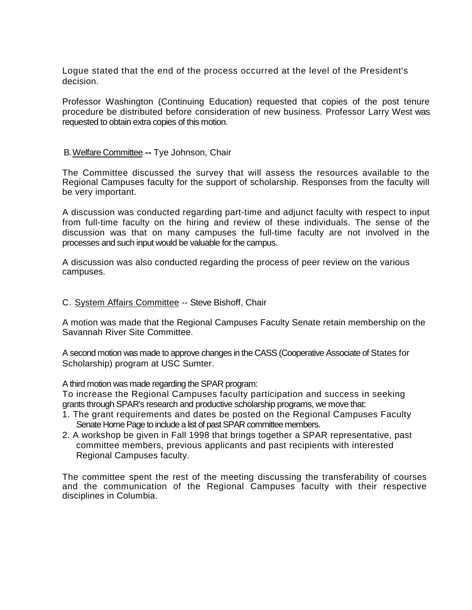Logue stated that the end of the process occurred at the level of the President's decision.

Professor Washington (Continuing Education) requested that copies of the post tenure procedure be distributed before consideration of new business. Professor Larry West was requested to obtain extra copies of this motion.

# B. Welfare Committee **--** Tye Johnson, Chair

The Committee discussed the survey that will assess the resources available to the Regional Campuses faculty for the support of scholarship. Responses from the faculty will be very important.

A discussion was conducted regarding part-time and adjunct faculty with respect to input from full-time faculty on the hiring and review of these individuals. The sense of the discussion was that on many campuses the full-time faculty are not involved in the processes and such input would be valuable for the campus.

A discussion was also conducted regarding the process of peer review on the various campuses.

# C. System Affairs Committee -- Steve Bishoff, Chair

A motion was made that the Regional Campuses Faculty Senate retain membership on the Savannah River Site Committee.

A second motion was made to approve changes in the CASS (Cooperative Associate of States for Scholarship) program at USC Sumter.

A third motion was made regarding the SPAR program:

To increase the Regional Campuses faculty participation and success in seeking grants through SPAR's research and productive scholarship programs, we move that:

- 1. The grant requirements and dates be posted on the Regional Campuses Faculty Senate Home Page to include a list of past SPAR committee members.
- 2. A workshop be given in Fall 1998 that brings together a SPAR representative, past committee members, previous applicants and past recipients with interested Regional Campuses faculty.

The committee spent the rest of the meeting discussing the transferability of courses and the communication of the Regional Campuses faculty with their respective disciplines in Columbia.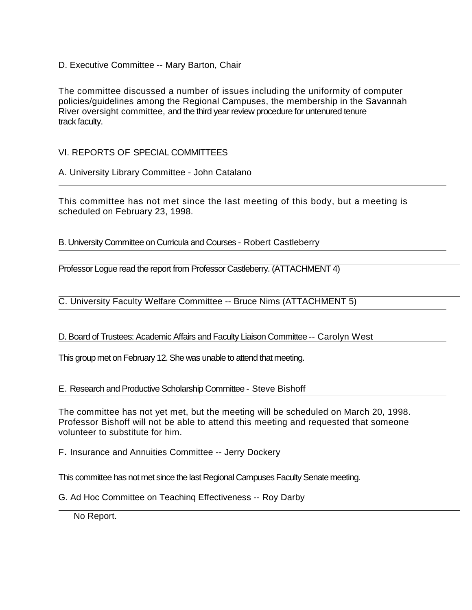# D. Executive Committee -- Mary Barton, Chair

The committee discussed a number of issues including the uniformity of computer policies/guidelines among the Regional Campuses, the membership in the Savannah River oversight committee, and the third year review procedure for untenured tenure track faculty.

VI. REPORTS OF SPECIAL COMMITTEES

A. University Library Committee - John Catalano

This committee has not met since the last meeting of this body, but a meeting is scheduled on February 23, 1998.

B. University Committee on Curricula and Courses - Robert Castleberry

Professor Logue read the report from Professor Castleberry. (ATTACHMENT 4)

C. University Faculty Welfare Committee -- Bruce Nims (ATTACHMENT 5)

# D. Board of Trustees: Academic Affairs and Faculty Liaison Committee -- Carolyn West

This group met on February 12. She was unable to attend that meeting.

E. Research and Productive Scholarship Committee - Steve Bishoff

The committee has not yet met, but the meeting will be scheduled on March 20, 1998. Professor Bishoff will not be able to attend this meeting and requested that someone volunteer to substitute for him.

F**.** Insurance and Annuities Committee -- Jerry Dockery

This committee has not met since the last Regional Campuses Faculty Senate meeting.

G. Ad Hoc Committee on Teachinq Effectiveness -- Roy Darby

No Report.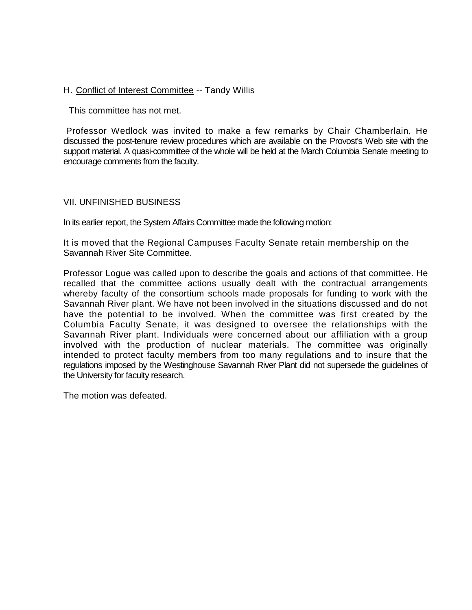# H. Conflict of Interest Committee -- Tandy Willis

This committee has not met.

Professor Wedlock was invited to make a few remarks by Chair Chamberlain. He discussed the post-tenure review procedures which are available on the Provost's Web site with the support material. A quasi-committee of the whole will be held at the March Columbia Senate meeting to encourage comments from the faculty.

#### VII. UNFINISHED BUSINESS

In its earlier report, the System Affairs Committee made the following motion:

It is moved that the Regional Campuses Faculty Senate retain membership on the Savannah River Site Committee.

Professor Logue was called upon to describe the goals and actions of that committee. He recalled that the committee actions usually dealt with the contractual arrangements whereby faculty of the consortium schools made proposals for funding to work with the Savannah River plant. We have not been involved in the situations discussed and do not have the potential to be involved. When the committee was first created by the Columbia Faculty Senate, it was designed to oversee the relationships with the Savannah River plant. Individuals were concerned about our affiliation with a group involved with the production of nuclear materials. The committee was originally intended to protect faculty members from too many regulations and to insure that the regulations imposed by the Westinghouse Savannah River Plant did not supersede the guidelines of the University for faculty research.

The motion was defeated.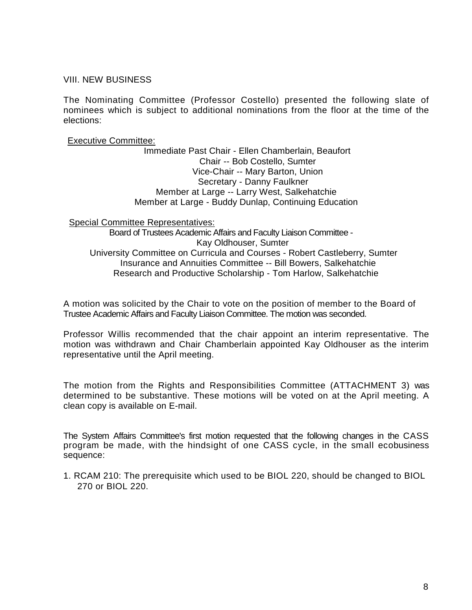VIII. NEW BUSINESS

The Nominating Committee (Professor Costello) presented the following slate of nominees which is subject to additional nominations from the floor at the time of the elections:

Executive Committee:

Immediate Past Chair - Ellen Chamberlain, Beaufort Chair -- Bob Costello, Sumter Vice-Chair -- Mary Barton, Union Secretary - Danny Faulkner Member at Large -- Larry West, Salkehatchie Member at Large - Buddy Dunlap, Continuing Education

Special Committee Representatives:

Board of Trustees Academic Affairs and Faculty Liaison Committee - Kay Oldhouser, Sumter University Committee on Curricula and Courses - Robert Castleberry, Sumter Insurance and Annuities Committee -- Bill Bowers, Salkehatchie Research and Productive Scholarship - Tom Harlow, Salkehatchie

A motion was solicited by the Chair to vote on the position of member to the Board of Trustee Academic Affairs and Faculty Liaison Committee. The motion was seconded.

Professor Willis recommended that the chair appoint an interim representative. The motion was withdrawn and Chair Chamberlain appointed Kay Oldhouser as the interim representative until the April meeting.

The motion from the Rights and Responsibilities Committee (ATTACHMENT 3) was determined to be substantive. These motions will be voted on at the April meeting. A clean copy is available on E-mail.

The System Affairs Committee's first motion requested that the following changes in the CASS program be made, with the hindsight of one CASS cycle, in the small ecobusiness sequence:

1. RCAM 210: The prerequisite which used to be BIOL 220, should be changed to BIOL 270 or BIOL 220.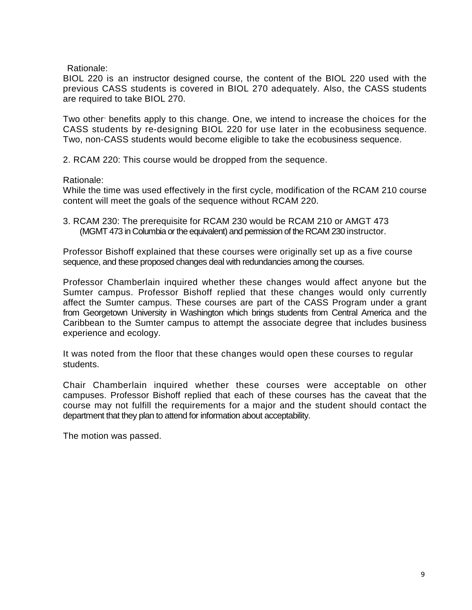Rationale:

BIOL 220 is an instructor designed course, the content of the BIOL 220 used with the previous CASS students is covered in BIOL 270 adequately. Also, the CASS students are required to take BIOL 270.

Two other benefits apply to this change. One, we intend to increase the choices for the CASS students by re-designing BIOL 220 for use later in the ecobusiness sequence. Two, non-CASS students would become eligible to take the ecobusiness sequence.

2. RCAM 220: This course would be dropped from the sequence.

Rationale:

While the time was used effectively in the first cycle, modification of the RCAM 210 course content will meet the goals of the sequence without RCAM 220.

3. RCAM 230: The prerequisite for RCAM 230 would be RCAM 210 or AMGT 473 (MGMT 473 in Columbia or the equivalent) and permission of the RCAM 230 instructor.

Professor Bishoff explained that these courses were originally set up as a five course sequence, and these proposed changes deal with redundancies among the courses.

Professor Chamberlain inquired whether these changes would affect anyone but the Sumter campus. Professor Bishoff replied that these changes would only currently affect the Sumter campus. These courses are part of the CASS Program under a grant from Georgetown University in Washington which brings students from Central America and the Caribbean to the Sumter campus to attempt the associate degree that includes business experience and ecology.

It was noted from the floor that these changes would open these courses to regular students.

Chair Chamberlain inquired whether these courses were acceptable on other campuses. Professor Bishoff replied that each of these courses has the caveat that the course may not fulfill the requirements for a major and the student should contact the department that they plan to attend for information about acceptability.

The motion was passed.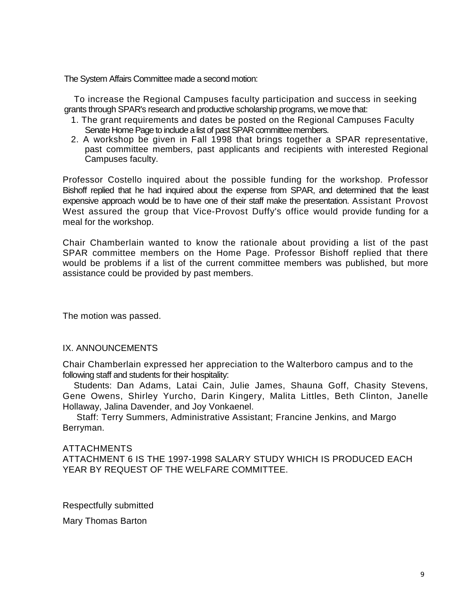The System Affairs Committee made a second motion:

To increase the Regional Campuses faculty participation and success in seeking grants through SPAR's research and productive scholarship programs, we move that:

- 1. The grant requirements and dates be posted on the Regional Campuses Faculty Senate Home Page to include a list of past SPAR committee members.
- 2. A workshop be given in Fall 1998 that brings together a SPAR representative, past committee members, past applicants and recipients with interested Regional Campuses faculty.

Professor Costello inquired about the possible funding for the workshop. Professor Bishoff replied that he had inquired about the expense from SPAR, and determined that the least expensive approach would be to have one of their staff make the presentation. Assistant Provost West assured the group that Vice-Provost Duffy's office would provide funding for a meal for the workshop.

Chair Chamberlain wanted to know the rationale about providing a list of the past SPAR committee members on the Home Page. Professor Bishoff replied that there would be problems if a list of the current committee members was published, but more assistance could be provided by past members.

The motion was passed.

# IX. ANNOUNCEMENTS

Chair Chamberlain expressed her appreciation to the Walterboro campus and to the following staff and students for their hospitality:

Students: Dan Adams, Latai Cain, Julie James, Shauna Goff, Chasity Stevens, Gene Owens, Shirley Yurcho, Darin Kingery, Malita Littles, Beth Clinton, Janelle Hollaway, Jalina Davender, and Joy Vonkaenel.

Staff: Terry Summers, Administrative Assistant; Francine Jenkins, and Margo Berryman.

#### ATTACHMENTS

ATTACHMENT 6 IS THE 1997-1998 SALARY STUDY WHICH IS PRODUCED EACH YEAR BY REQUEST OF THE WELFARE COMMITTEE.

Respectfully submitted

Mary Thomas Barton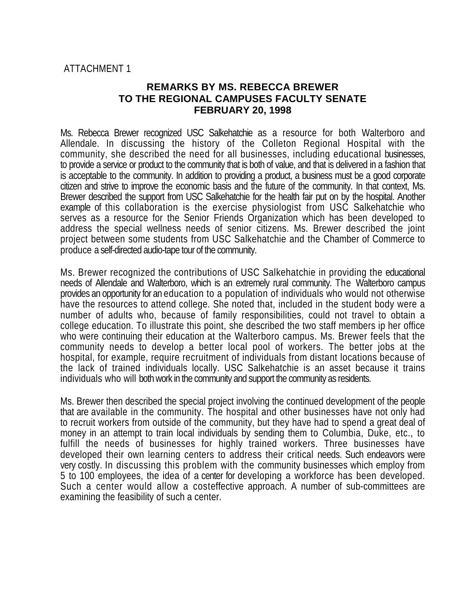# ATTACHMENT 1

# **REMARKS BY MS. REBECCA BREWER TO THE REGIONAL CAMPUSES FACULTY SENATE FEBRUARY 20, 1998**

Ms. Rebecca Brewer recognized USC Salkehatchie as a resource for both Walterboro and Allendale. In discussing the history of the Colleton Regional Hospital with the community, she described the need for all businesses, including educational businesses, to provide a service or product to the community that is both of value, and that is delivered in a fashion that is acceptable to the community. In addition to providing a product, a business must be a good corporate citizen and strive to improve the economic basis and the future of the community. In that context, Ms. Brewer described the support from USC Salkehatchie for the health fair put on by the hospital. Another example of this collaboration is the exercise physiologist from USC Salkehatchie who serves as a resource for the Senior Friends Organization which has been developed to address the special wellness needs of senior citizens. Ms. Brewer described the joint project between some students from USC Salkehatchie and the Chamber of Commerce to produce a self-directed audio-tape tour of the community.

Ms. Brewer recognized the contributions of USC Salkehatchie in providing the educational needs of Allendale and Walterboro, which is an extremely rural community. The Walterboro campus provides an opportunity for an education to a population of individuals who would not otherwise have the resources to attend college. She noted that, included in the student body were a number of adults who, because of family responsibilities, could not travel to obtain a college education. To illustrate this point, she described the two staff members ip her office who were continuing their education at the Walterboro campus. Ms. Brewer feels that the community needs to develop a better local pool of workers. The better jobs at the hospital, for example, require recruitment of individuals from distant locations because of the lack of trained individuals locally. USC Salkehatchie is an asset because it trains individuals who will both work in the community and support the community as residents.

Ms. Brewer then described the special project involving the continued development of the people that are available in the community. The hospital and other businesses have not only had to recruit workers from outside of the community, but they have had to spend a great deal of money in an attempt to train local individuals by sending them to Columbia, Duke, etc., to fulfill the needs of businesses for highly trained workers. Three businesses have developed their own learning centers to address their critical needs. Such endeavors were very costly. In discussing this problem with the community businesses which employ from 5 to 100 employees, the idea of a center for developing a workforce has been developed. Such a center would allow a costeffective approach. A number of sub-committees are examining the feasibility of such a center.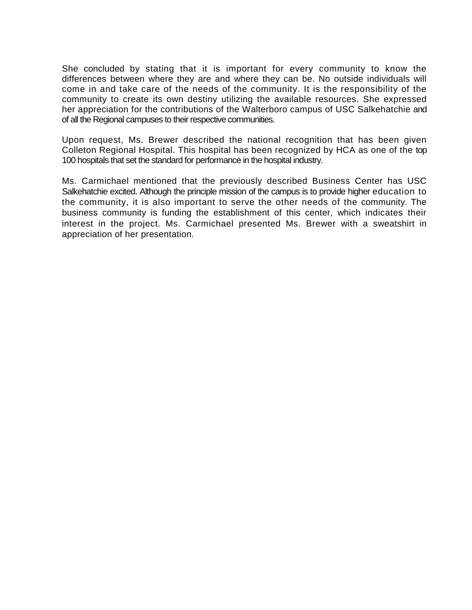She concluded by stating that it is important for every community to know the differences between where they are and where they can be. No outside individuals will come in and take care of the needs of the community. It is the responsibility of the community to create its own destiny utilizing the available resources. She expressed her appreciation for the contributions of the Walterboro campus of USC Salkehatchie and of all the Regional campuses to their respective communities.

Upon request, Ms. Brewer described the national recognition that has been given Colleton Regional Hospital. This hospital has been recognized by HCA as one of the top 100 hospitals that set the standard for performance in the hospital industry.

Ms. Carmichael mentioned that the previously described Business Center has USC Salkehatchie excited. Although the principle mission of the campus is to provide higher education to the community, it is also important to serve the other needs of the community. The business community is funding the establishment of this center, which indicates their interest in the project. Ms. Carmichael presented Ms. Brewer with a sweatshirt in appreciation of her presentation.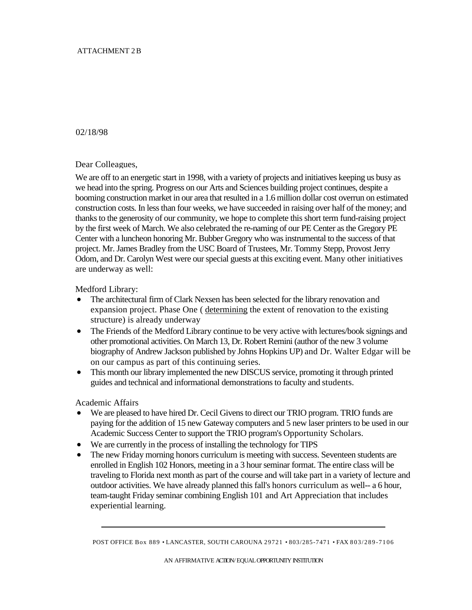#### ATTACHMENT 2 B

#### 02/18/98

#### Dear Colleagues,

We are off to an energetic start in 1998, with a variety of projects and initiatives keeping us busy as we head into the spring. Progress on our Arts and Sciences building project continues, despite a booming construction market in our area that resulted in a 1.6 million dollar cost overrun on estimated construction costs. In less than four weeks, we have succeeded in raising over half of the money; and thanks to the generosity of our community, we hope to complete this short term fund-raising project by the first week of March. We also celebrated the re-naming of our PE Center as the Gregory PE Center with a luncheon honoring Mr. Bubber Gregory who was instrumental to the success of that project. Mr. James Bradley from the USC Board of Trustees, Mr. Tommy Stepp, Provost Jerry Odom, and Dr. Carolyn West were our special guests at this exciting event. Many other initiatives are underway as well:

Medford Library:

- The architectural firm of Clark Nexsen has been selected for the library renovation and expansion project. Phase One ( determining the extent of renovation to the existing structure) is already underway
- The Friends of the Medford Library continue to be very active with lectures/book signings and other promotional activities. On March 13, Dr. Robert Remini (author of the new 3 volume biography of Andrew Jackson published by Johns Hopkins UP) and Dr. Walter Edgar will be on our campus as part of this continuing series.
- This month our library implemented the new DISCUS service, promoting it through printed guides and technical and informational demonstrations to faculty and students.

#### Academic Affairs

- We are pleased to have hired Dr. Cecil Givens to direct our TRIO program. TRIO funds are paying for the addition of 15 new Gateway computers and 5 new laser printers to be used in our Academic Success Center to support the TRIO program's Opportunity Scholars.
- We are currently in the process of installing the technology for TIPS
- The new Friday morning honors curriculum is meeting with success. Seventeen students are enrolled in English 102 Honors, meeting in a 3 hour seminar format. The entire class will be traveling to Florida next month as part of the course and will take part in a variety of lecture and outdoor activities. We have already planned this fall's honors curriculum as well-- a 6 hour, team-taught Friday seminar combining English 101 and Art Appreciation that includes experiential learning.

POST OFFICE Box 889 • LANCASTER, SOUTH CAROUNA 29721 • 803/285-7471 • FAX 803/289-7106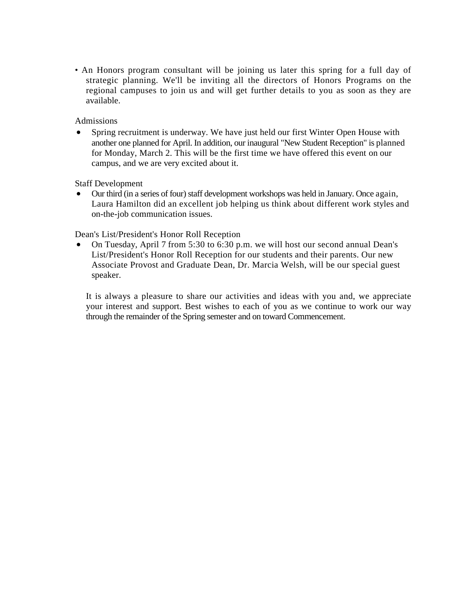• An Honors program consultant will be joining us later this spring for a full day of strategic planning. We'll be inviting all the directors of Honors Programs on the regional campuses to join us and will get further details to you as soon as they are available.

# Admissions

• Spring recruitment is underway. We have just held our first Winter Open House with another one planned for April. In addition, our inaugural "New Student Reception" is planned for Monday, March 2. This will be the first time we have offered this event on our campus, and we are very excited about it.

Staff Development

• Our third (in a series of four) staff development workshops was held in January. Once again, Laura Hamilton did an excellent job helping us think about different work styles and on-the-job communication issues.

Dean's List/President's Honor Roll Reception

• On Tuesday, April 7 from 5:30 to 6:30 p.m. we will host our second annual Dean's List/President's Honor Roll Reception for our students and their parents. Our new Associate Provost and Graduate Dean, Dr. Marcia Welsh, will be our special guest speaker.

It is always a pleasure to share our activities and ideas with you and, we appreciate your interest and support. Best wishes to each of you as we continue to work our way through the remainder of the Spring semester and on toward Commencement.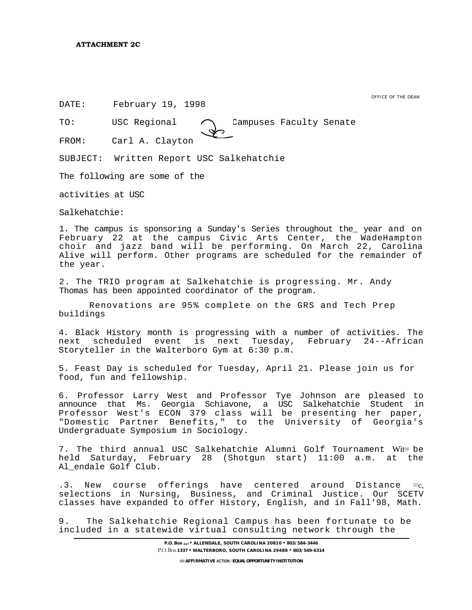OFFICE OF THE DEAN

DATE: February 19, 1998

TO: USC Regional  $\bigcap$  Campuses Faculty Senate

FROM: Carl A. Clayton

SUBJECT: Written Report USC Salkehatchie

The following are some of the

activities at USC

Salkehatchie:

1. The campus is sponsoring a Sunday's Series throughout the\_ year and on February 22 at the campus Civic Arts Center, the WadeHampton choir and jazz band will be performing. On March 22, Carolina Alive will perform. Other programs are scheduled for the remainder of the year.

2. The TRIO program at Salkehatchie is progressing. Mr. Andy Thomas has been appointed coordinator of the program.

Renovations are 95% complete on the GRS and Tech Prep buildings

4. Black History month is progressing with a number of activities. The next scheduled event is next Tuesday, February 24--African next scheduled event is next Storyteller in the Walterboro Gym at 6:30 p.m.

5. Feast Day is scheduled for Tuesday, April 21. Please join us for food, fun and fellowship.

6. Professor Larry West and Professor Tye Johnson are pleased to announce that Ms. Georgia Schiavone, a USC Salkehatchie Student in Professor West's ECON 379 class will be presenting her paper, "Domestic Partner Benefits," to the University of Georgia's Undergraduate Symposium in Sociology.

7. The third annual USC Salkehatchie Alumni Golf Tournament Wit= be held Saturday, February 28 (Shotgun start) 11:00 a.m. at the Al\_endale Golf Club.

.3. New course offerings have centered around Distance =c, selections in Nursing, Business, and Criminal Justice. Our SCETV classes have expanded to offer History, English, and in Fall'98, Math.

9. The Salkehatchie Regional Campus has been fortunate to be included in a statewide virtual consulting network through the

AN **AFFIRMATIVE ACTION** / **EQUAL OPPORTUNITY INSTITUTION**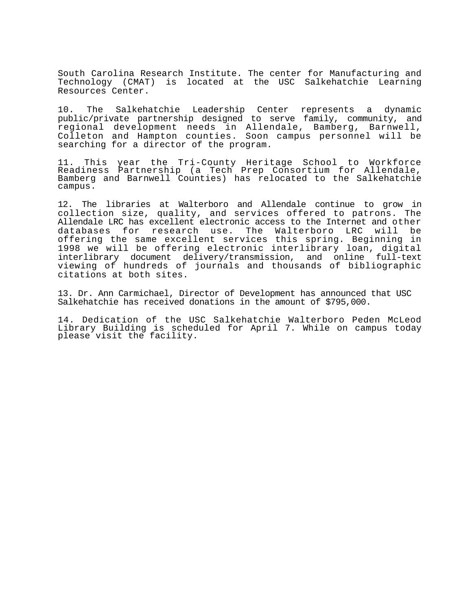South Carolina Research Institute. The center for Manufacturing and Technology (CMAT) is located at the USC Salkehatchie Learning Resources Center.

10. The Salkehatchie Leadership Center represents a dynamic public/private partnership designed to serve family, community, and regional development needs in Allendale, Bamberg, Barnwell, Colleton and Hampton counties. Soon campus personnel will be searching for a director of the program.

11. This year the Tri-County Heritage School to Workforce Readiness Partnership (a Tech Prep Consortium for Allendale, Bamberg and Barnwell Counties) has relocated to the Salkehatchie campus.

12. The libraries at Walterboro and Allendale continue to grow in collection size, quality, and services offered to patrons. The Allendale LRC has excellent electronic access to the Internet and other databases for research use. The Walterboro LRC will be offering the same excellent services this spring. Beginning in 1998 we will be offering electronic interlibrary loan, digital interlibrary document delivery/transmission, and online full-text viewing of hundreds of journals and thousands of bibliographic citations at both sites.

13. Dr. Ann Carmichael, Director of Development has announced that USC Salkehatchie has received donations in the amount of \$795,000.

14. Dedication of the USC Salkehatchie Walterboro Peden McLeod Library Building is scheduled for April 7. While on campus today please visit the facility.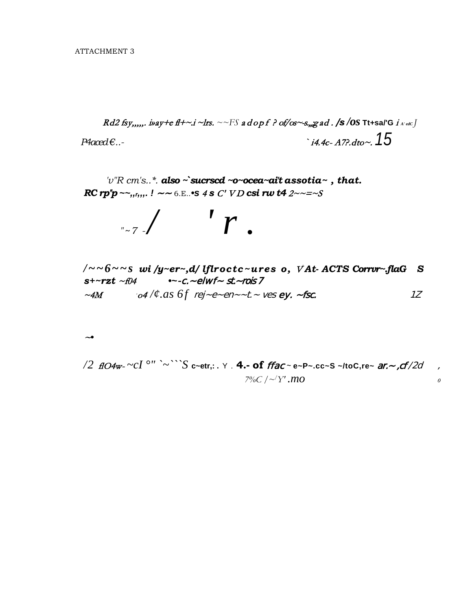Rd2 fsy,,,,, is ay te fl+~i ~lrs. ~~FS a dop f? of/os~s, g ad. /s /0S Tt+sa/'G i A'edC ]  $\cdot$  i4.4c- A7?.dto~. 15  $P4a$   $e^{-}$ 

 $'v''R$  cm's..\*. also ~`sucrscd ~o~ocea~ai't assotia~, that. RC rp'p  $\sim_{\gamma_1}$ ,  $\gamma_2$ ,  $\sim$  6.E. •S 4 s C' VD csi rw t4 2 $\sim$  =  $\sim$ S

$$
\mathbb{Z}_{7} \Big/ \qquad ' \qquad \qquad
$$

 $\sqrt{1-\delta}$   $\sim$   $S$  wi/y  $\gamma$ er  $\sim$ , d/ lflroctc  $\sim$ ures o,  $V$ At-ACTS Corrur $\sim$ flaG S  $s+ \sim rzt \sim f04$  • $\sim -c. \sim e/wf \sim st. \sim rois 7$  $\sim$ 4M o4/¢.as 6f rej-e-en--t.-ves ey. -fsc.  $1Z$ 

$$
\mathord{\sim} \bullet
$$

/2  $\pi$   $104w$ - $\sim$  $\pi$ <sup>o</sup>  $\sim$   $\sim$   $\pi$   $\sim$   $\sim$   $\pi$   $\sim$   $\pi$   $\sim$   $\pi$   $\sim$   $\pi$   $\sim$   $\pi$  $\sim$   $\pi$   $\sim$   $\pi$   $\sim$   $\pi$  $\sim$   $\pi$  $\sim$   $\pi$  $\sim$   $\pi$  $\sim$   $\pi$  $\sim$   $\pi$  $\sim$   $\pi$  $\sim$   $\pi$  $\sim$   $\pi$  $\sim$   $\pi$  $\sim$   $\pi$  $\sim$   $7\%C$  / ~ $'Y'$  . mo

 $\overline{\phantom{a}}$ 

 $\boldsymbol{\theta}$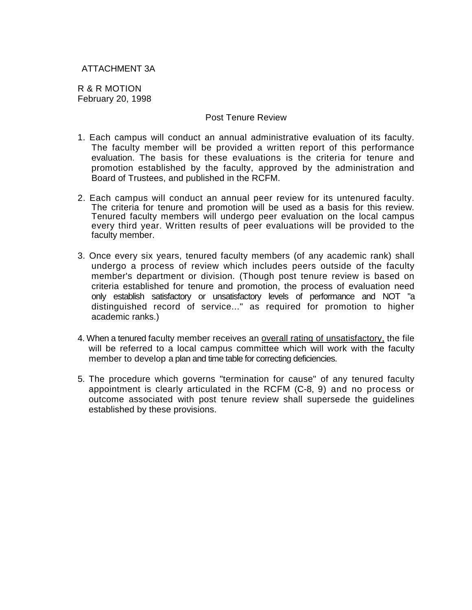# ATTACHMENT 3A

R & R MOTION February 20, 1998

# Post Tenure Review

- 1. Each campus will conduct an annual administrative evaluation of its faculty. The faculty member will be provided a written report of this performance evaluation. The basis for these evaluations is the criteria for tenure and promotion established by the faculty, approved by the administration and Board of Trustees, and published in the RCFM.
- 2. Each campus will conduct an annual peer review for its untenured faculty. The criteria for tenure and promotion will be used as a basis for this review. Tenured faculty members will undergo peer evaluation on the local campus every third year. Written results of peer evaluations will be provided to the faculty member.
- 3. Once every six years, tenured faculty members (of any academic rank) shall undergo a process of review which includes peers outside of the faculty member's department or division. (Though post tenure review is based on criteria established for tenure and promotion, the process of evaluation need only establish satisfactory or unsatisfactory levels of performance and NOT "a distinguished record of service..." as required for promotion to higher academic ranks.)
- 4. When a tenured faculty member receives an overall rating of unsatisfactory, the file will be referred to a local campus committee which will work with the faculty member to develop a plan and time table for correcting deficiencies.
- 5. The procedure which governs "termination for cause" of any tenured faculty appointment is clearly articulated in the RCFM (C-8, 9) and no process or outcome associated with post tenure review shall supersede the guidelines established by these provisions.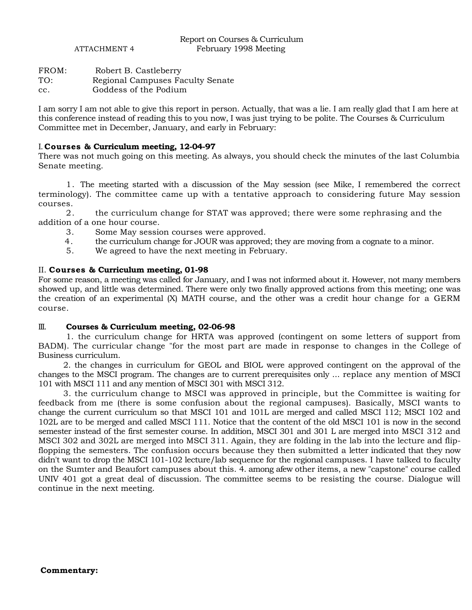FROM: Robert B. Castleberry TO: Regional Campuses Faculty Senate cc. Goddess of the Podium

I am sorry I am not able to give this report in person. Actually, that was a lie. I am really glad that I am here at this conference instead of reading this to you now, I was just trying to be polite. The Courses & Curriculum Committee met in December, January, and early in February:

# I. **Courses & Curriculum meeting, 12-04-97**

There was not much going on this meeting. As always, you should check the minutes of the last Columbia Senate meeting.

1. The meeting started with a discussion of the May session (see Mike, I remembered the correct terminology). The committee came up with a tentative approach to considering future May session courses.

2. the curriculum change for STAT was approved; there were some rephrasing and the addition of a one hour course.

- 3. Some May session courses were approved.
- 4. the curriculum change for JOUR was approved; they are moving from a cognate to a minor.
- 5. We agreed to have the next meeting in February.

#### II. **Courses & Curriculum meeting, 01-98**

For some reason, a meeting was called for January, and I was not informed about it. However, not many members showed up, and little was determined. There were only two finally approved actions from this meeting; one was the creation of an experimental (X) MATH course, and the other was a credit hour change for a GERM course.

#### III. **Courses & Curriculum meeting, 02-06-98**

1. the curriculum change for HRTA was approved (contingent on some letters of support from BADM). The curricular change "for the most part are made in response to changes in the College of Business curriculum.

2. the changes in curriculum for GEOL and BIOL were approved contingent on the approval of the changes to the MSCI program. The changes are to current prerequisites only ... replace any mention of MSCI 101 with MSCI 111 and any mention of MSCI 301 with MSCI 312.

3. the curriculum change to MSCI was approved in principle, but the Committee is waiting for feedback from me (there is some confusion about the regional campuses). Basically, MSCI wants to change the current curriculum so that MSCI 101 and 101L are merged and called MSCI 112; MSCI 102 and 102L are to be merged and called MSCI 111. Notice that the content of the old MSCI 101 is now in the second semester instead of the first semester course. In addition, MSCI 301 and 301 L are merged into MSCI 312 and MSCI 302 and 302L are merged into MSCI 311. Again, they are folding in the lab into the lecture and flipflopping the semesters. The confusion occurs because they then submitted a letter indicated that they now didn't want to drop the MSCI 101-102 lecture/lab sequence for the regional campuses. I have talked to faculty on the Sumter and Beaufort campuses about this. 4. among afew other items, a new "capstone" course called UNIV 401 got a great deal of discussion. The committee seems to be resisting the course. Dialogue will continue in the next meeting.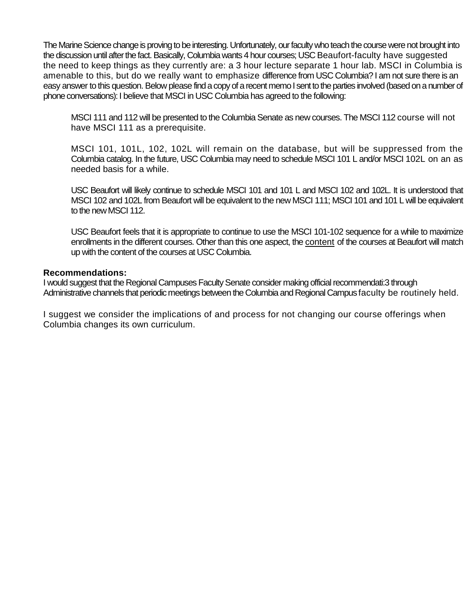The Marine Science change is proving to be interesting. Unfortunately, our faculty who teach the course were not brought into the discussion until after the fact. Basically, Columbia wants 4 hour courses; USC Beaufort-faculty have suggested the need to keep things as they currently are: a 3 hour lecture separate 1 hour lab. MSCI in Columbia is amenable to this, but do we really want to emphasize difference from USC Columbia? I am not sure there is an easy answer to this question. Below please find a copy of a recent memo I sent to the parties involved (based on a number of phone conversations): I believe that MSCI in USC Columbia has agreed to the following:

MSCI 111 and 112 will be presented to the Columbia Senate as new courses. The MSCI 112 course will not have MSCI 111 as a prerequisite.

MSCI 101, 101L, 102, 102L will remain on the database, but will be suppressed from the Columbia catalog. In the future, USC Columbia may need to schedule MSCI 101 L and/or MSCI 102L on an as needed basis for a while.

USC Beaufort will likely continue to schedule MSCI 101 and 101 L and MSCI 102 and 102L. It is understood that MSCI 102 and 102L from Beaufort will be equivalent to the new MSCI 111; MSCI 101 and 101 L will be equivalent to the new MSCI 112.

USC Beaufort feels that it is appropriate to continue to use the MSCI 101-102 sequence for a while to maximize enrollments in the different courses. Other than this one aspect, the content of the courses at Beaufort will match up with the content of the courses at USC Columbia.

# **Recommendations:**

I would suggest that the Regional Campuses Faculty Senate consider making official recommendati:3 through Administrative channels that periodic meetings between the Columbia and Regional Campus faculty be routinely held.

I suggest we consider the implications of and process for not changing our course offerings when Columbia changes its own curriculum.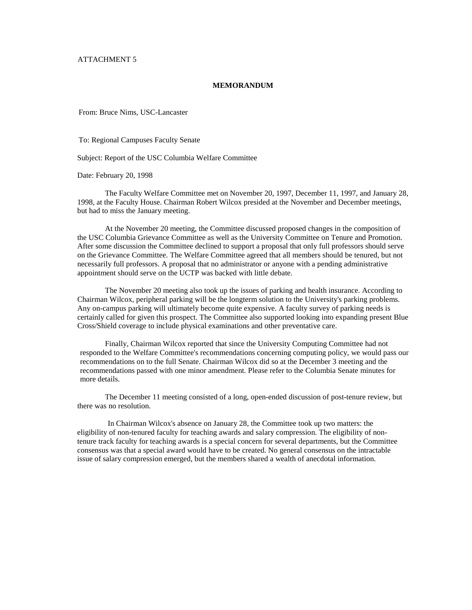ATTACHMENT 5

#### **MEMORANDUM**

From: Bruce Nims, USC-Lancaster

To: Regional Campuses Faculty Senate

Subject: Report of the USC Columbia Welfare Committee

Date: February 20, 1998

The Faculty Welfare Committee met on November 20, 1997, December 11, 1997, and January 28, 1998, at the Faculty House. Chairman Robert Wilcox presided at the November and December meetings, but had to miss the January meeting.

At the November 20 meeting, the Committee discussed proposed changes in the composition of the USC Columbia Grievance Committee as well as the University Committee on Tenure and Promotion. After some discussion the Committee declined to support a proposal that only full professors should serve on the Grievance Committee. The Welfare Committee agreed that all members should be tenured, but not necessarily full professors. A proposal that no administrator or anyone with a pending administrative appointment should serve on the UCTP was backed with little debate.

The November 20 meeting also took up the issues of parking and health insurance. According to Chairman Wilcox, peripheral parking will be the longterm solution to the University's parking problems. Any on-campus parking will ultimately become quite expensive. A faculty survey of parking needs is certainly called for given this prospect. The Committee also supported looking into expanding present Blue Cross/Shield coverage to include physical examinations and other preventative care.

Finally, Chairman Wilcox reported that since the University Computing Committee had not responded to the Welfare Committee's recommendations concerning computing policy, we would pass our recommendations on to the full Senate. Chairman Wilcox did so at the December 3 meeting and the recommendations passed with one minor amendment. Please refer to the Columbia Senate minutes for more details.

The December 11 meeting consisted of a long, open-ended discussion of post-tenure review, but there was no resolution.

In Chairman Wilcox's absence on January 28, the Committee took up two matters: the eligibility of non-tenured faculty for teaching awards and salary compression. The eligibility of nontenure track faculty for teaching awards is a special concern for several departments, but the Committee consensus was that a special award would have to be created. No general consensus on the intractable issue of salary compression emerged, but the members shared a wealth of anecdotal information.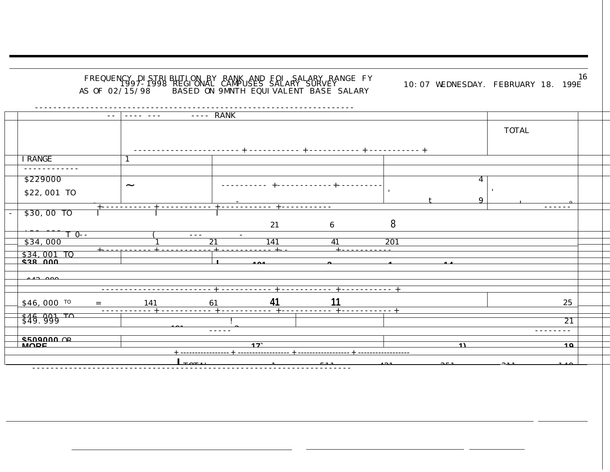# FREQUENCY DISTRIBUTION BY RANK AND FOI SALARY RANGE FY<br>AS OF 02/15/98 BEGIONAL CAMPUSES SALARY SURVEY<br>AS OF 02/15/98 BASED ON 9MNTH EQUIVALENT BASE SALARY

10:07 WEDNESDAY. FEBRUARY 18. 199E

16

| $---$ RANK<br>$\begin{array}{cccccccccccccc} \multicolumn{2}{c}{} & \multicolumn{2}{c}{} & \multicolumn{2}{c}{} & \multicolumn{2}{c}{} & \multicolumn{2}{c}{} & \multicolumn{2}{c}{} & \multicolumn{2}{c}{} & \multicolumn{2}{c}{} & \multicolumn{2}{c}{} & \multicolumn{2}{c}{} & \multicolumn{2}{c}{} & \multicolumn{2}{c}{} & \multicolumn{2}{c}{} & \multicolumn{2}{c}{} & \multicolumn{2}{c}{} & \multicolumn{2}{c}{} & \multicolumn{2}{c}{} & \multicolumn{2}{c}{} & \multicolumn{2}{c}{} & \$<br>$ -$ |                 |  |
|--------------------------------------------------------------------------------------------------------------------------------------------------------------------------------------------------------------------------------------------------------------------------------------------------------------------------------------------------------------------------------------------------------------------------------------------------------------------------------------------------------------|-----------------|--|
|                                                                                                                                                                                                                                                                                                                                                                                                                                                                                                              | <b>TOTAL</b>    |  |
| -------------------                                                                                                                                                                                                                                                                                                                                                                                                                                                                                          |                 |  |
| <b>I RANGE</b>                                                                                                                                                                                                                                                                                                                                                                                                                                                                                               |                 |  |
| ------------                                                                                                                                                                                                                                                                                                                                                                                                                                                                                                 |                 |  |
| \$229000<br>4<br>$\widetilde{\phantom{m}}$                                                                                                                                                                                                                                                                                                                                                                                                                                                                   |                 |  |
| \$22,001 TO                                                                                                                                                                                                                                                                                                                                                                                                                                                                                                  |                 |  |
| + -----------                                                                                                                                                                                                                                                                                                                                                                                                                                                                                                | ------          |  |
| $$30,00$ TO<br>8<br>21<br>$6\phantom{1}$                                                                                                                                                                                                                                                                                                                                                                                                                                                                     |                 |  |
| $T_0$ -<br>$\overline{\phantom{0}}$                                                                                                                                                                                                                                                                                                                                                                                                                                                                          |                 |  |
| $\frac{1}{2}$<br>\$34,000<br>21<br>141<br>201<br>41                                                                                                                                                                                                                                                                                                                                                                                                                                                          |                 |  |
| $\pm$ $\pm$ $\pm$<br>$\pm$ $\pm$                                                                                                                                                                                                                                                                                                                                                                                                                                                                             |                 |  |
| \$34.001 TO                                                                                                                                                                                                                                                                                                                                                                                                                                                                                                  |                 |  |
| <b>A38 000</b><br>л.                                                                                                                                                                                                                                                                                                                                                                                                                                                                                         |                 |  |
|                                                                                                                                                                                                                                                                                                                                                                                                                                                                                                              |                 |  |
| $0.10 - 0.00$                                                                                                                                                                                                                                                                                                                                                                                                                                                                                                |                 |  |
| $  -$                                                                                                                                                                                                                                                                                                                                                                                                                                                                                                        |                 |  |
| 41<br>11<br>$$46,000$ <sup>TO</sup><br>141<br>61<br>$=$                                                                                                                                                                                                                                                                                                                                                                                                                                                      | 25              |  |
| --- + ---------<br>-----                                                                                                                                                                                                                                                                                                                                                                                                                                                                                     |                 |  |
| $\frac{646}{549}$ , $\frac{001}{999}$                                                                                                                                                                                                                                                                                                                                                                                                                                                                        | $\overline{21}$ |  |
| $\frac{1}{2}$                                                                                                                                                                                                                                                                                                                                                                                                                                                                                                |                 |  |
| <b>CENGANA AD</b>                                                                                                                                                                                                                                                                                                                                                                                                                                                                                            |                 |  |
| <b>MORE</b><br>17<br>$\overline{A}$                                                                                                                                                                                                                                                                                                                                                                                                                                                                          | 10              |  |
|                                                                                                                                                                                                                                                                                                                                                                                                                                                                                                              |                 |  |
|                                                                                                                                                                                                                                                                                                                                                                                                                                                                                                              |                 |  |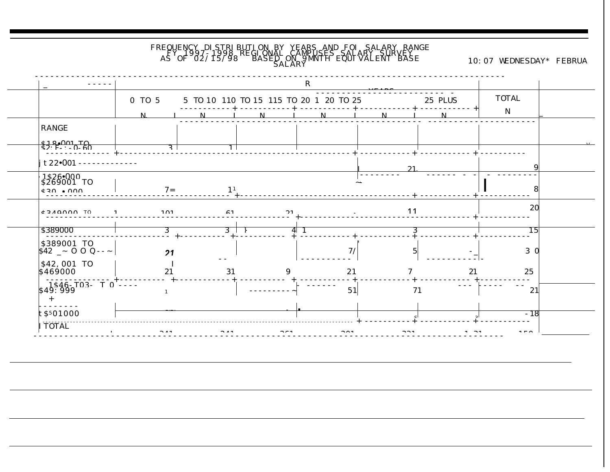# FREQUENCY DISTRIBUTION BY YEARS AND FOI SALARY RANGE<br>AS OF 02715798 REGIONAL CAMPUSES SALARY SURVENT<br>SALARY<br>SALARY

10:07 WEDNESDAY\* FEBRUA

| $\frac{1}{2} \left( \frac{1}{2} \right) \left( \frac{1}{2} \right) \left( \frac{1}{2} \right) \left( \frac{1}{2} \right) \left( \frac{1}{2} \right)$ |                                                  |                |                      | $\mathbf R$                                                                                                                                                                           |                      |                      |                      |
|------------------------------------------------------------------------------------------------------------------------------------------------------|--------------------------------------------------|----------------|----------------------|---------------------------------------------------------------------------------------------------------------------------------------------------------------------------------------|----------------------|----------------------|----------------------|
|                                                                                                                                                      | 5 T0 10 110 T0 15 115 T0 20 1 20 T0 25<br>0 TO 5 | 25 PLUS        | <b>TOTAL</b>         |                                                                                                                                                                                       |                      |                      |                      |
|                                                                                                                                                      | N                                                |                |                      |                                                                                                                                                                                       |                      |                      | $\mathbf N$          |
| RANGE                                                                                                                                                |                                                  |                |                      |                                                                                                                                                                                       |                      |                      |                      |
| $$2.8$ $001$ TO<br>S2: F-: - 0-60<br>------------                                                                                                    | $\overline{3}$                                   |                |                      |                                                                                                                                                                                       |                      |                      |                      |
| $t22$ $001$ -------------                                                                                                                            |                                                  |                |                      |                                                                                                                                                                                       | 21                   |                      | 9                    |
| $1826 \cdot 000$<br>$$269001$ TO<br>$0.20 \pm 0.00$                                                                                                  | $7 =$                                            | 11             |                      | $\sim$ -                                                                                                                                                                              |                      |                      | 8                    |
| <b>COZOOOO TO</b><br>$\sim$ 1                                                                                                                        | $1^{\prime}$                                     | $\alpha$ 1     | 21                   |                                                                                                                                                                                       | 11                   |                      | 20                   |
| \$389000                                                                                                                                             | 3                                                | $\overline{3}$ | $\overline{4}$ 1     |                                                                                                                                                                                       | 3                    |                      | 15                   |
| \$389001 TO<br>$842 - 000 - -$                                                                                                                       | 21                                               |                |                      | 7 <sub>l</sub>                                                                                                                                                                        | $\overline{5}$       |                      | $3\ 0$               |
| \$42,001 TO<br>\$469000                                                                                                                              | 21                                               | 31             | 9                    | 21                                                                                                                                                                                    | 7                    | 21                   | 25                   |
| $1846 - 703 - 70$<br>\$49:999<br>$+$                                                                                                                 | $\overline{1}$                                   |                |                      | $\frac{1}{2} \left( \frac{1}{2} \right) \left( \frac{1}{2} \right) \left( \frac{1}{2} \right) \left( \frac{1}{2} \right) \left( \frac{1}{2} \right) \left( \frac{1}{2} \right)$<br>51 | 71                   |                      | 21                   |
| t \$ 501000                                                                                                                                          |                                                  |                |                      |                                                                                                                                                                                       |                      |                      | $-18$                |
| <b>ITOTAL</b>                                                                                                                                        | $\sim$ 4.4                                       | $\sim$ 4.4     | $\sim$ $\sim$ $\sim$ | $\sim$ $\sim$ $\sim$                                                                                                                                                                  | $\sim$ $\sim$ $\sim$ | $\sim$ $\sim$ $\sim$ | $\sim$ $\sim$ $\sim$ |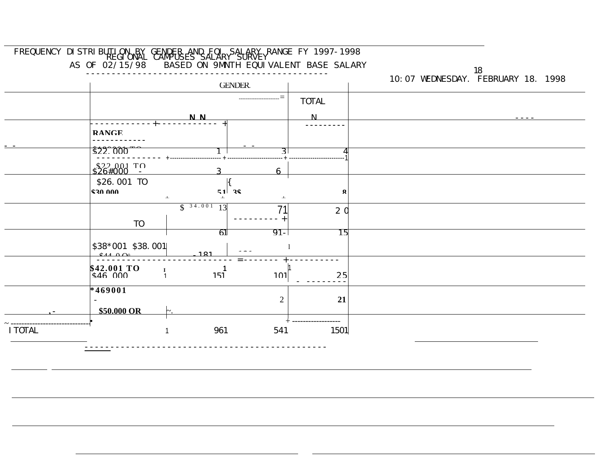|                | FREQUENCY DISTRIBUTION BY GENDER AND FOL SALARY RANGE FY 1997-1998<br>AS OF 02/15/98 BASED ON 9MNTH EQUIVALENT BASE SALARY |                 |                 |              |                                          |
|----------------|----------------------------------------------------------------------------------------------------------------------------|-----------------|-----------------|--------------|------------------------------------------|
|                |                                                                                                                            |                 | <b>GENDER</b>   |              | 18<br>10:07 WEDNESDAY. FEBRUARY 18. 1998 |
|                |                                                                                                                            |                 |                 | <b>TOTAL</b> |                                          |
|                |                                                                                                                            | N N             |                 | N            |                                          |
|                | <b>RANGE</b>                                                                                                               |                 |                 |              |                                          |
|                | \$22 000                                                                                                                   |                 | 3               |              |                                          |
|                | $$26#000 - $26$                                                                                                            |                 | R               |              |                                          |
|                | \$26.001 TO<br><b>ANA 022</b>                                                                                              |                 | $51$ $30$       | $\mathbf{Q}$ |                                          |
|                | T <sub>0</sub>                                                                                                             | $$^{34.001}$ 13 | 71              | $2\,0$       |                                          |
|                |                                                                                                                            | 61              | $91 -$          | 15           |                                          |
|                | \$38*001 \$38.001<br>$\mathfrak{C}$ 4.4 $\Omega$ $\Omega$                                                                  | 181             |                 |              |                                          |
|                | \$42.001 TO<br>$\bf{I}$<br>$S46$ 000<br>$\mathbf{1}$                                                                       | 151             | 1 <sub>01</sub> | 2.5          |                                          |
|                | *469001<br>\$50.000 OR                                                                                                     |                 | $\overline{2}$  | 21           |                                          |
| <b>I TOTAL</b> | $\mathbf{1}$                                                                                                               | 961             | 541             | 1501         |                                          |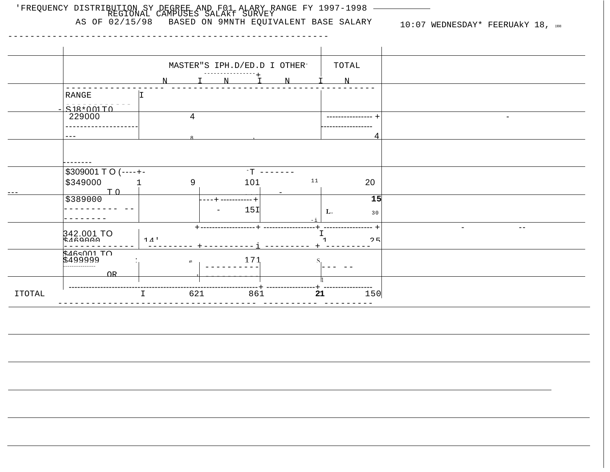AS OF 02/15/98 BASED ON 9MNTH EQUIVALENT BASE SALARY 10:07 WEDNESDAY\* FEERUAKY 18, 1998

|               |                                                                                                                                                                                                                                                                                                                                                                                              | MASTER"S IPH.D/ED.D I OTHER-<br>TOTAL |     |                        |                    |     |  |  |  |  |  |
|---------------|----------------------------------------------------------------------------------------------------------------------------------------------------------------------------------------------------------------------------------------------------------------------------------------------------------------------------------------------------------------------------------------------|---------------------------------------|-----|------------------------|--------------------|-----|--|--|--|--|--|
|               |                                                                                                                                                                                                                                                                                                                                                                                              | $\mathbf{M}$                          |     | --------------<br>N    | $\mathbf{M}$<br>NT |     |  |  |  |  |  |
|               | ${\tt RANGE}$                                                                                                                                                                                                                                                                                                                                                                                | lт                                    |     |                        |                    |     |  |  |  |  |  |
|               | $S18*001T0$                                                                                                                                                                                                                                                                                                                                                                                  |                                       |     |                        |                    |     |  |  |  |  |  |
|               | 229000                                                                                                                                                                                                                                                                                                                                                                                       |                                       | 4   |                        | -----------        |     |  |  |  |  |  |
|               |                                                                                                                                                                                                                                                                                                                                                                                              |                                       |     |                        |                    |     |  |  |  |  |  |
|               | $\frac{1}{2} \frac{1}{2} \frac{1}{2} \frac{1}{2} \frac{1}{2} \frac{1}{2} \frac{1}{2} \frac{1}{2} \frac{1}{2} \frac{1}{2} \frac{1}{2} \frac{1}{2} \frac{1}{2} \frac{1}{2} \frac{1}{2} \frac{1}{2} \frac{1}{2} \frac{1}{2} \frac{1}{2} \frac{1}{2} \frac{1}{2} \frac{1}{2} \frac{1}{2} \frac{1}{2} \frac{1}{2} \frac{1}{2} \frac{1}{2} \frac{1}{2} \frac{1}{2} \frac{1}{2} \frac{1}{2} \frac{$ |                                       |     |                        |                    | Δ   |  |  |  |  |  |
|               |                                                                                                                                                                                                                                                                                                                                                                                              |                                       |     |                        |                    |     |  |  |  |  |  |
|               |                                                                                                                                                                                                                                                                                                                                                                                              |                                       |     |                        |                    |     |  |  |  |  |  |
|               | $$309001$ TO (----+-                                                                                                                                                                                                                                                                                                                                                                         |                                       |     | T                      |                    |     |  |  |  |  |  |
|               | \$349000                                                                                                                                                                                                                                                                                                                                                                                     |                                       | 9   | 101                    | 11                 | 20  |  |  |  |  |  |
| ---           | T <sub>0</sub>                                                                                                                                                                                                                                                                                                                                                                               |                                       |     |                        |                    |     |  |  |  |  |  |
|               | \$389000                                                                                                                                                                                                                                                                                                                                                                                     |                                       |     | ---- 4                 |                    | 15  |  |  |  |  |  |
|               |                                                                                                                                                                                                                                                                                                                                                                                              |                                       |     | 15I                    | $L_{-}$            | 30  |  |  |  |  |  |
|               |                                                                                                                                                                                                                                                                                                                                                                                              |                                       |     | +--------------------+ |                    |     |  |  |  |  |  |
|               | 342.001 TO                                                                                                                                                                                                                                                                                                                                                                                   |                                       |     |                        |                    |     |  |  |  |  |  |
|               |                                                                                                                                                                                                                                                                                                                                                                                              | 14'                                   |     |                        |                    | つら  |  |  |  |  |  |
|               | RARCOO1 TO                                                                                                                                                                                                                                                                                                                                                                                   |                                       |     |                        |                    |     |  |  |  |  |  |
|               | \$499999<br>--------------                                                                                                                                                                                                                                                                                                                                                                   |                                       | 41  | 171                    |                    |     |  |  |  |  |  |
|               | OR                                                                                                                                                                                                                                                                                                                                                                                           |                                       |     |                        |                    |     |  |  |  |  |  |
|               |                                                                                                                                                                                                                                                                                                                                                                                              |                                       |     |                        |                    |     |  |  |  |  |  |
| <b>ITOTAL</b> |                                                                                                                                                                                                                                                                                                                                                                                              |                                       | 621 | 861                    | 21                 | 150 |  |  |  |  |  |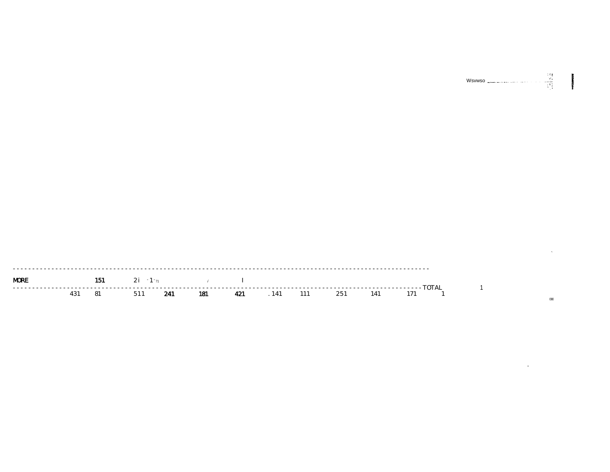$\begin{picture}(180,10) \put(0,0){\vector(1,0){100}} \put(15,0){\vector(1,0){100}} \put(15,0){\vector(1,0){100}} \put(15,0){\vector(1,0){100}} \put(15,0){\vector(1,0){100}} \put(15,0){\vector(1,0){100}} \put(15,0){\vector(1,0){100}} \put(15,0){\vector(1,0){100}} \put(15,0){\vector(1,0){100}} \put(15,0){\vector(1,0){100}} \put(15,0){\vector(1,0){100}}$ 

 $\lambda$ 

 $\sim$ 

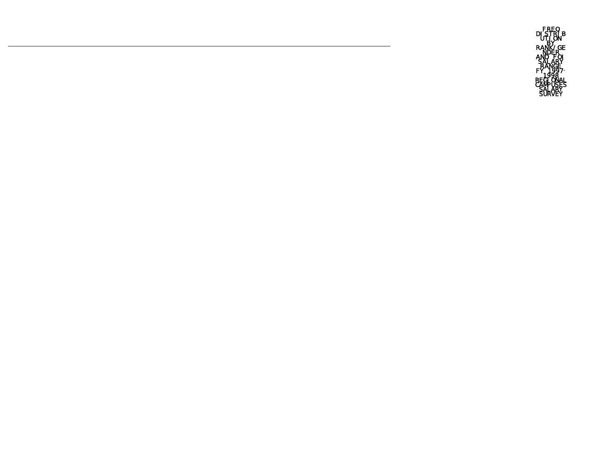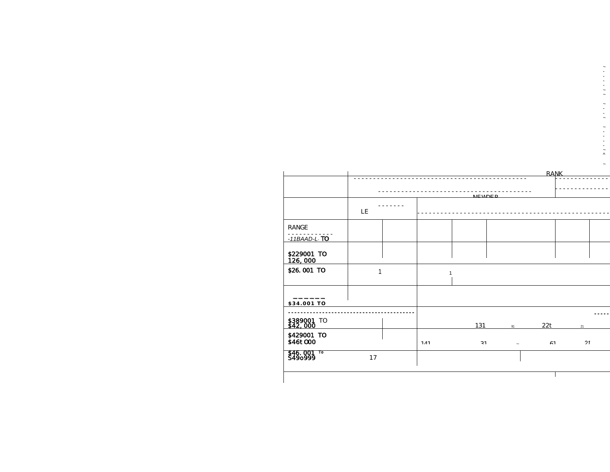|                         |    |     |   |               |        |             |    | $\tilde{\phantom{a}}$ |
|-------------------------|----|-----|---|---------------|--------|-------------|----|-----------------------|
|                         |    |     |   |               |        | <b>RANK</b> |    |                       |
|                         |    |     |   |               |        |             |    |                       |
|                         |    |     |   |               |        |             |    |                       |
|                         |    |     |   | <b>NEWDER</b> |        |             |    |                       |
|                         |    |     |   |               |        |             |    |                       |
|                         | LE |     |   |               |        |             |    |                       |
| RANGE                   |    |     |   |               |        |             |    |                       |
|                         |    |     |   |               |        |             |    |                       |
| $-11BAAD-L$ . TO        |    |     |   |               |        |             |    |                       |
|                         |    |     |   |               |        |             |    |                       |
| \$229001 TO<br>126,000  |    |     |   |               |        |             |    |                       |
| \$26.001 TO             |    |     |   |               |        |             |    |                       |
|                         |    |     | 1 |               |        |             |    |                       |
|                         |    |     |   |               |        |             |    |                       |
|                         |    |     |   |               |        |             |    |                       |
| \$34.001 TO             |    |     |   |               |        |             |    |                       |
|                         |    |     |   |               |        |             |    |                       |
|                         |    |     |   |               |        |             |    |                       |
| \$389001 TO<br>\$42,000 |    |     |   | 131           | 91     | 22t         | 21 |                       |
| \$429001 TO             |    |     |   |               |        |             |    |                       |
| \$46t000                |    | 111 |   | 21            | $\sim$ | R1          | 21 |                       |
| \$46,001 To<br>\$49o999 |    |     |   |               |        |             |    |                       |
|                         | 17 |     |   |               |        |             |    |                       |
|                         |    |     |   |               |        |             |    |                       |
|                         |    |     |   |               |        |             |    |                       |

~<br>-------<br>--

~<br>-<br>-<br>~

~ - - - - ~ ^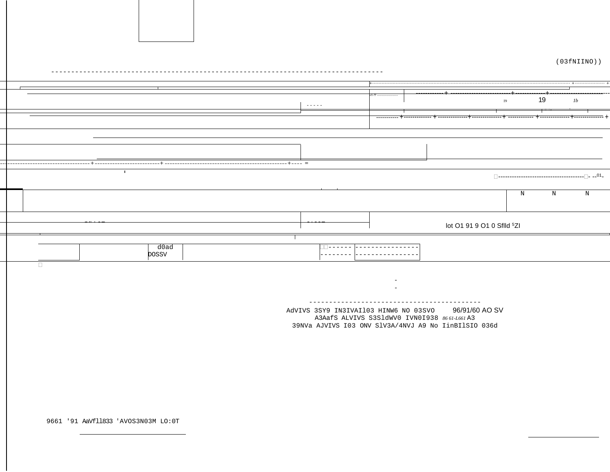| $(03fNIINO)$ )                                                                                                                                                                                         |
|--------------------------------------------------------------------------------------------------------------------------------------------------------------------------------------------------------|
|                                                                                                                                                                                                        |
| 19<br>1h<br>IQ<br>$\sim$ $\sim$ $\sim$ $\sim$ $\sim$                                                                                                                                                   |
|                                                                                                                                                                                                        |
|                                                                                                                                                                                                        |
|                                                                                                                                                                                                        |
|                                                                                                                                                                                                        |
| ----+---- =<br>-----------------                                                                                                                                                                       |
| $\mathbf{I}$                                                                                                                                                                                           |
| $\;$ N<br>${\bf N}$<br>$\, {\rm N}$                                                                                                                                                                    |
| lot O1 91 9 O1 0 Sflld <sup>5</sup> Zl                                                                                                                                                                 |
|                                                                                                                                                                                                        |
| d0ad<br><b>DOSSV</b>                                                                                                                                                                                   |
| $\Box$<br>--------------------------<br>96/91/60 AO SV<br>AdVIVS 3SY9 IN3IVAI103 HINW6 NO 03SVO<br>A3AafS ALVIVS S3SldWV0 IVN0I938 8661-L661A3<br>39NVa AJVIVS I03 ONV SlV3A/4NVJ A9 No IinBIlSIO 036d |

9661 '91 AaVfl1833 'AVOS3N03M LO:0T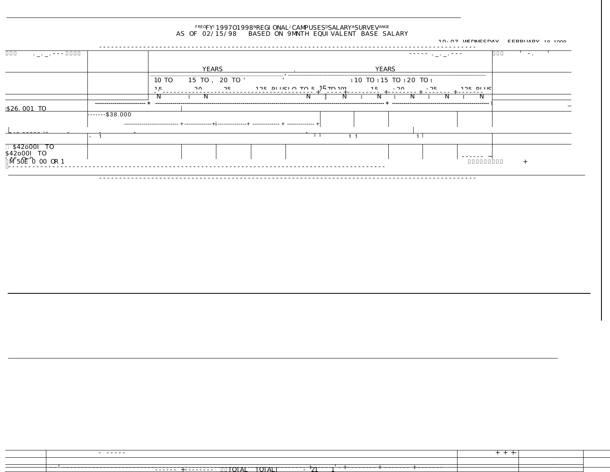# $$\tt FRE0FYI\,199701998^NREGI\,ONAL/CAMPUSES^D SALARY^ASURVEVANCE\,AS\,OF\,02/15/98\,BSESASED\,ON\,9MNTH\,EQUI\,VALENT\,BASE\, SALARY\,$

10.07 WEDNECDAV EEDDHADV 40 4000

| $\Box\ \Box\ \Box$<br>$\cdot$ _ $\cdot$ _ $\cdot$ - - - 0000           |              |                         |                           |                                 |                                                       |              |                              |  |                                                      |          | $-$ . |  |
|------------------------------------------------------------------------|--------------|-------------------------|---------------------------|---------------------------------|-------------------------------------------------------|--------------|------------------------------|--|------------------------------------------------------|----------|-------|--|
|                                                                        |              |                         | <b>YEARS</b>              |                                 |                                                       | <b>YEARS</b> |                              |  |                                                      |          |       |  |
|                                                                        |              | 10 TO<br>1 <sub>5</sub> | 15 TO, 20 TO<br>$90 - 95$ | <u>וחו חסלן אחד חזטונוס אפו</u> | $\frac{5 \text{ m } 101}{101}$ 15 190 195 196 196 DI1 |              | $110$ TO $115$ TO $120$ TO I |  | --------------------------------------<br>$195$ dine |          |       |  |
|                                                                        |              |                         |                           |                                 |                                                       |              |                              |  |                                                      |          |       |  |
| $$26.001$ TO                                                           | $---$38.000$ |                         |                           |                                 |                                                       |              |                              |  |                                                      |          |       |  |
|                                                                        |              |                         |                           |                                 |                                                       |              |                              |  |                                                      |          |       |  |
|                                                                        |              |                         |                           |                                 | $1 \quad 1$                                           |              |                              |  |                                                      |          |       |  |
| $\Box$ \$42 $\mathrm{o}00$ I TO<br>\$42o00I TO<br>$10^6$ 50E 0 00 OR 1 |              |                         |                           |                                 |                                                       |              |                              |  |                                                      | nnnnnnnn |       |  |

| - ------                                                                           |  |
|------------------------------------------------------------------------------------|--|
|                                                                                    |  |
|                                                                                    |  |
| <del>.</del><br><del>.</del><br>$\tau$ тотат.<br>דה<br><b>TOTALT</b><br>. <b>.</b> |  |
|                                                                                    |  |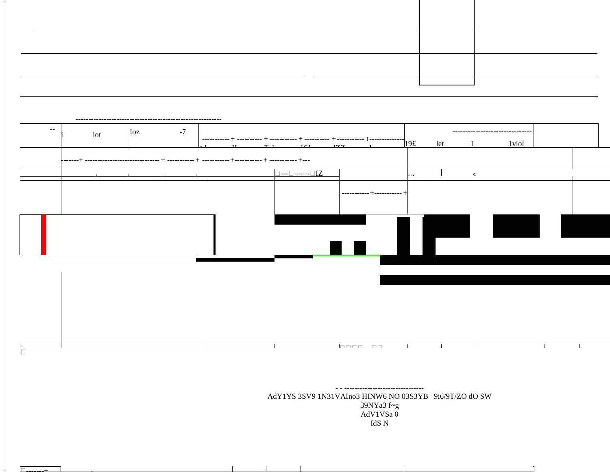| $--$ |     |     |      |    |          |                         |                 |                             |                         |     |                                 |  |
|------|-----|-----|------|----|----------|-------------------------|-----------------|-----------------------------|-------------------------|-----|---------------------------------|--|
|      | lot | Ioz | $-7$ |    |          |                         |                 |                             |                         |     | ------------------------------- |  |
|      |     |     |      |    |          |                         |                 |                             | $\left 19\right\rangle$ | let | 1viol                           |  |
|      |     |     |      | TT | $TT - 1$ |                         | TTT             |                             |                         |     |                                 |  |
|      |     |     |      |    |          |                         |                 |                             |                         |     |                                 |  |
|      |     |     |      |    |          |                         |                 |                             |                         |     |                                 |  |
|      |     |     |      |    |          |                         |                 |                             |                         |     |                                 |  |
|      |     |     |      |    |          | ]---∏-------∏ <b>IZ</b> |                 |                             | <b>TIT</b>              |     |                                 |  |
|      |     |     |      |    |          |                         |                 |                             |                         |     |                                 |  |
|      |     |     |      |    |          |                         |                 |                             |                         |     |                                 |  |
|      |     |     |      |    |          |                         |                 | ------------+-------------+ |                         |     |                                 |  |
|      |     |     |      |    |          |                         |                 |                             |                         |     |                                 |  |
|      |     |     |      |    |          |                         |                 |                             |                         |     |                                 |  |
|      |     |     |      |    |          |                         |                 |                             |                         |     |                                 |  |
|      |     |     |      |    |          |                         |                 |                             |                         |     |                                 |  |
|      |     |     |      |    |          |                         |                 |                             |                         |     |                                 |  |
|      |     |     |      |    |          |                         |                 |                             |                         |     |                                 |  |
|      |     |     |      |    |          |                         |                 |                             |                         |     |                                 |  |
|      |     |     |      |    |          |                         |                 |                             |                         |     |                                 |  |
|      |     |     |      |    |          |                         |                 |                             |                         |     |                                 |  |
|      |     |     |      |    |          |                         |                 |                             |                         |     |                                 |  |
|      |     |     |      |    |          |                         |                 |                             |                         |     |                                 |  |
|      |     |     |      |    |          |                         |                 |                             |                         |     |                                 |  |
|      |     |     |      |    |          |                         |                 |                             |                         |     |                                 |  |
|      |     |     |      |    |          |                         |                 |                             |                         |     |                                 |  |
|      |     |     |      |    |          |                         |                 |                             |                         |     |                                 |  |
|      |     |     |      |    |          |                         |                 |                             |                         |     |                                 |  |
|      |     |     |      |    |          |                         |                 |                             |                         |     |                                 |  |
|      |     |     |      |    |          |                         |                 |                             |                         |     |                                 |  |
|      |     |     |      |    |          |                         |                 |                             |                         |     |                                 |  |
|      |     |     |      |    |          |                         |                 |                             |                         |     |                                 |  |
|      |     |     |      |    |          |                         |                 |                             |                         |     |                                 |  |
|      |     |     |      |    |          |                         | <u>Innnn nn</u> |                             |                         |     |                                 |  |
|      |     |     |      |    |          |                         |                 |                             |                         |     |                                 |  |
|      |     |     |      |    |          |                         |                 |                             |                         |     |                                 |  |

 $\mathbf{L}$ 

 $\sim 10^{-1}$ 

 $\blacksquare$ 

- - ------------------------------AdY1YS 3SV9 1N31VAIno3 HINW6 NO 03S3YB 9i6/9T/ZO dO SW<br>39NYa3  $f-g$ <br>AdV1VSa 0  $\rm IdS$  N

 $\mathbf{I}$